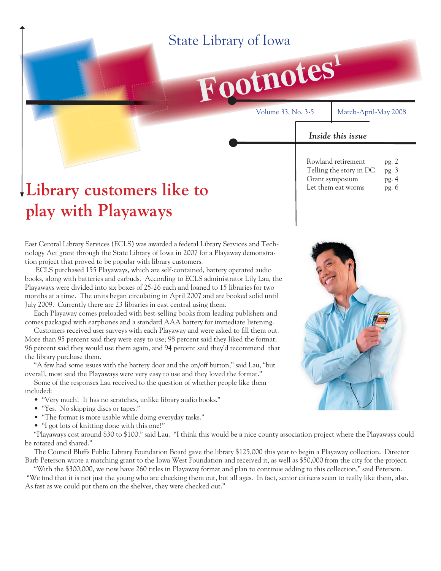## State Library of Iowa



Volume 33, No. 3-5 March-April-May 2008

*Inside this issue*

Rowland retirement pg. 2 Telling the story in DC pg. 3 Grant symposium pg. 4 Let them eat worms pg. 6

# **Library customers like to play with Playaways**

East Central Library Services (ECLS) was awarded a federal Library Services and Technology Act grant through the State Library of Iowa in 2007 for a Playaway demonstration project that proved to be popular with library customers.

 ECLS purchased 155 Playaways, which are self-contained, battery operated audio books, along with batteries and earbuds. According to ECLS administrator Lily Lau, the Playaways were divided into six boxes of 25-26 each and loaned to 15 libraries for two months at a time. The units began circulating in April 2007 and are booked solid until July 2009. Currently there are 23 libraries in east central using them.

 Each Playaway comes preloaded with best-selling books from leading publishers and comes packaged with earphones and a standard AAA battery for immediate listening.

Customers received user surveys with each Playaway and were asked to fill them out. More than 95 percent said they were easy to use; 98 percent said they liked the format; 96 percent said they would use them again, and 94 percent said they'd recommend that the library purchase them.

 "A few had some issues with the battery door and the on/off button," said Lau, "but overall, most said the Playaways were very easy to use and they loved the format."

 Some of the responses Lau received to the question of whether people like them included:

- "Very much! It has no scratches, unlike library audio books."
- "Yes. No skipping discs or tapes."
- "The format is more usable while doing everyday tasks."
- "I got lots of knitting done with this one!"

 "Playaways cost around \$30 to \$100," said Lau. "I think this would be a nice county association project where the Playaways could be rotated and shared."

 The Council Bluffs Public Library Foundation Board gave the library \$125,000 this year to begin a Playaway collection. Director Barb Peterson wrote a matching grant to the Iowa West Foundation and received it, as well as \$50,000 from the city for the project.

 "With the \$300,000, we now have 260 titles in Playaway format and plan to continue adding to this collection," said Peterson. "We find that it is not just the young who are checking them out, but all ages. In fact, senior citizens seem to really like them, also. As fast as we could put them on the shelves, they were checked out."

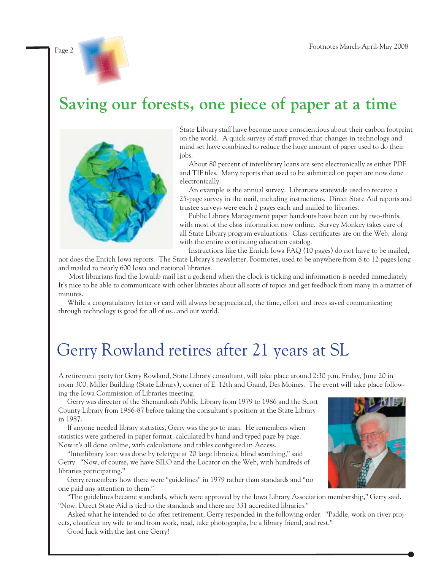

## **Saving our forests, one piece of paper at a time**



State Library staff have become more conscientious about their carbon footprint on the world. A quick survey of staff proved that changes in technology and mind set have combined to reduce the huge amount of paper used to do their jobs.

 About 80 percent of interlibrary loans are sent electronically as either PDF and TIF files. Many reports that used to be submitted on paper are now done electronically.

 An example is the annual survey. Librarians statewide used to receive a 25-page survey in the mail, including instructions. Direct State Aid reports and trustee surveys were each 2 pages each and mailed to libraries.

 Public Library Management paper handouts have been cut by two-thirds, with most of the class information now online. Survey Monkey takes care of all State Library program evaluations. Class certificates are on the Web, along with the entire continuing education catalog.

Instructions like the Enrich Iowa FAQ (10 pages) do not have to be mailed,

nor does the Enrich Iowa reports. The State Library's newsletter, Footnotes, used to be anywhere from 8 to 12 pages long and mailed to nearly 600 Iowa and national libraries.

Most librarians find the Iowalib mail list a godsend when the clock is ticking and information is needed immediately. It's nice to be able to communicate with other libraries about all sorts of topics and get feedback from many in a matter of minutes.

 While a congratulatory letter or card will always be appreciated, the time, effort and trees saved communicating through technology is good for all of us...and our world.

## Gerry Rowland retires after 21 years at SL

A retirement party for Gerry Rowland, State Library consultant, will take place around 2:30 p.m. Friday, June 20 in room 300, Miller Building (State Library), corner of E. 12th and Grand, Des Moines. The event will take place following the Iowa Commission of Libraries meeting.

 Gerry was director of the Shenandoah Public Library from 1979 to 1986 and the Scott County Library from 1986-87 before taking the consultant's position at the State Library in 1987.

 If anyone needed library statistics, Gerry was the go-to man. He remembers when statistics were gathered in paper format, calculated by hand and typed page by page. Now it's all done online, with calculations and tables configured in Access.

 "Interlibrary loan was done by teletype at 20 large libraries, blind searching," said Gerry. "Now, of course, we have SILO and the Locator on the Web, with hundreds of libraries participating."

 Gerry remembers how there were "guidelines" in 1979 rather than standards and "no one paid any attention to them."

 "The guidelines became standards, which were approved by the Iowa Library Association membership," Gerry said. "Now, Direct State Aid is tied to the standards and there are 331 accredited libraries."

 Asked what he intended to do after retirement, Gerry responded in the following order: "Paddle, work on river projects, chauffeur my wife to and from work, read, take photographs, be a library friend, and rest."

Good luck with the last one Gerry!

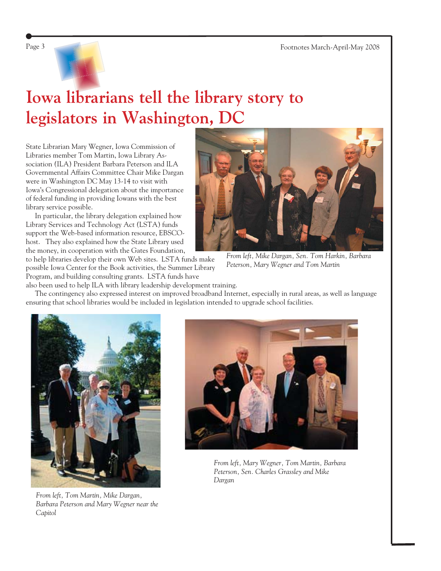

# **Iowa librarians tell the library story to legislators in Washington, DC**

State Librarian Mary Wegner, Iowa Commission of Libraries member Tom Martin, Iowa Library Association (ILA) President Barbara Peterson and ILA Governmental Affairs Committee Chair Mike Dargan were in Washington DC May 13-14 to visit with Iowa's Congressional delegation about the importance of federal funding in providing Iowans with the best library service possible.

 In particular, the library delegation explained how Library Services and Technology Act (LSTA) funds support the Web-based information resource, EBSCOhost. They also explained how the State Library used the money, in cooperation with the Gates Foundation,

to help libraries develop their own Web sites. LSTA funds make possible Iowa Center for the Book activities, the Summer Library Program, and building consulting grants. LSTA funds have



*From left, Mike Dargan, Sen. Tom Harkin, Barbara Peterson, Mary Wegner and Tom Martin*

also been used to help ILA with library leadership development training.

 The contingency also expressed interest on improved broadband Internet, especially in rural areas, as well as language ensuring that school libraries would be included in legislation intended to upgrade school facilities.



*From left, Tom Martin, Mike Dargan, Barbara Peterson and Mary Wegner near the Capitol*



*From left, Mary Wegner, Tom Martin, Barbara Peterson, Sen. Charles Grassley and Mike Dargan*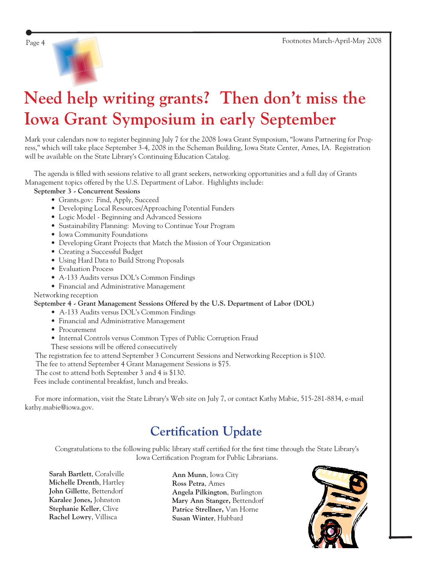# **Need help writing grants? Then don't miss the Iowa Grant Symposium in early September**

Mark your calendars now to register beginning July 7 for the 2008 Iowa Grant Symposium, "Iowans Partnering for Progress," which will take place September 3-4, 2008 in the Scheman Building, Iowa State Center, Ames, IA. Registration will be available on the State Library's Continuing Education Catalog.

The agenda is filled with sessions relative to all grant seekers, networking opportunities and a full day of Grants Management topics offered by the U.S. Department of Labor. Highlights include:

#### **September 3 - Concurrent Sessions**

- Grants.gov: Find, Apply, Succeed
- Developing Local Resources/Approaching Potential Funders
- Logic Model Beginning and Advanced Sessions
- Sustainability Planning: Moving to Continue Your Program
- Iowa Community Foundations
- Developing Grant Projects that Match the Mission of Your Organization
- Creating a Successful Budget
- Using Hard Data to Build Strong Proposals
- Evaluation Process
- A-133 Audits versus DOL's Common Findings
- Financial and Administrative Management

#### Networking reception

#### **September 4 - Grant Management Sessions Offered by the U.S. Department of Labor (DOL)**

- A-133 Audits versus DOL's Common Findings
- Financial and Administrative Management
- Procurement
- Internal Controls versus Common Types of Public Corruption Fraud
- These sessions will be offered consecutively
- The registration fee to attend September 3 Concurrent Sessions and Networking Reception is \$100.

The fee to attend September 4 Grant Management Sessions is \$75.

The cost to attend both September 3 and 4 is \$130.

Fees include continental breakfast, lunch and breaks.

For more information, visit the State Library's Web site on July 7, or contact Kathy Mabie, 515-281-8834, e-mail [kathy.mabie@iowa.gov.](mailto:kathy.mabie@iowa.gov)

### **Certification Update**

Congratulations to the following public library staff certified for the first time through the State Library's Iowa Certification Program for Public Librarians.

**Sarah Bartlett**, Coralville **Michelle Drenth**, Hartley **John Gillette**, Bettendorf **Karalee Jones,** Johnston **Stephanie Keller**, Clive **Rachel Lowry**, Villisca

**Ann Munn**, Iowa City **Ross Petra**, Ames **Angela Pilkington**, Burlington **Mary Ann Stanger,** Bettendorf **Patrice Strellner,** Van Horne **Susan Winter**, Hubbard

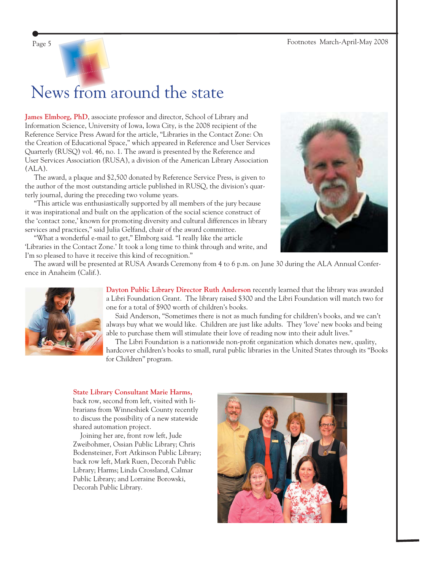

# News from around the state

**James Elmborg, PhD**, associate professor and director, School of Library and Information Science, University of Iowa, Iowa City, is the 2008 recipient of the Reference Service Press Award for the article, "Libraries in the Contact Zone: On the Creation of Educational Space," which appeared in Reference and User Services Quarterly (RUSQ) vol. 46, no. 1. The award is presented by the Reference and User Services Association (RUSA), a division of the American Library Association (ALA).

 The award, a plaque and \$2,500 donated by Reference Service Press, is given to the author of the most outstanding article published in RUSQ, the division's quarterly journal, during the preceding two volume years.

 "This article was enthusiastically supported by all members of the jury because it was inspirational and built on the application of the social science construct of the 'contact zone,' known for promoting diversity and cultural differences in library services and practices," said Julia Gelfand, chair of the award committee.

 "What a wonderful e-mail to get," Elmborg said. "I really like the article 'Libraries in the Contact Zone.' It took a long time to think through and write, and I'm so pleased to have it receive this kind of recognition."





**Dayton Public Library Director Ruth Anderson** recently learned that the library was awarded a [Libri Foundation Grant.](http://www.librifoundation.org/) The library raised \$300 and the Libri Foundation will match two for one for a total of \$900 worth of children's books.

 Said Anderson, "Sometimes there is not as much funding for children's books, and we can't always buy what we would like. Children are just like adults. They 'love' new books and being able to purchase them will stimulate their love of reading now into their adult lives."

The Libri Foundation is a nationwide non-profit organization which donates new, quality, hardcover children's books to small, rural public libraries in the United States through its "Books for Children" program.

#### **State Library Consultant Marie Harms,**

back row, second from left, visited with librarians from Winneshiek County recently to discuss the possibility of a new statewide shared automation project.

 Joining her are, front row left, Jude Zweibohmer, Ossian Public Library; Chris Bodensteiner, Fort Atkinson Public Library; back row left, Mark Ruen, Decorah Public Library; Harms; Linda Crossland, Calmar Public Library; and Lorraine Borowski, Decorah Public Library.